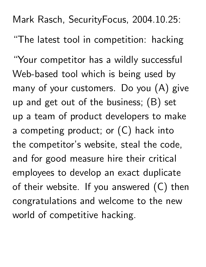Mark Rasch, SecurityFocus, 2004.10.25: "The latest tool in competition: hacking

"Your competitor has a wildly successful Web-based tool which is being used by many of your customers. Do you (A) give up and get out of the business; (B) set up a team of product developers to make a competing product; or  $(C)$  hack into the competitor's website, steal the code, and for good measure hire their critical employees to develop an exact duplicate of their website. If you answered  $(C)$  then congratulations and welcome to the new world of competitive hacking.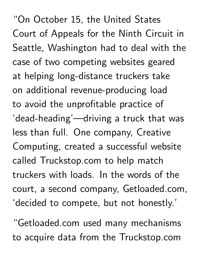"On October 15, the United States Court of Appeals for the Ninth Circuit in Seattle, Washington had to deal with the case of two competing websites geared at helping long-distance truckers take on additional revenue-producing load to avoid the unprofitable practice of 'dead-heading'—driving a truck that was less than full. One company, Creative Computing, created a successful website called Truckstop.com to help match truckers with loads. In the words of the court, a second company, Getloaded.com, 'decided to compete, but not honestly.'

"Getloaded.com used many mechanisms to acquire data from the Truckstop.com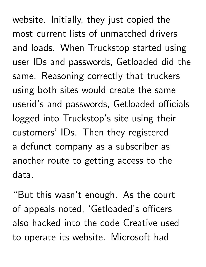website. Initially, they just copied the most current lists of unmatched drivers and loads. When Truckstop started using user IDs and passwords, Getloaded did the same. Reasoning correctly that truckers using both sites would create the same userid's and passwords, Getloaded officials logged into Truckstop's site using their customers' IDs. Then they registered a defunct company as a subscriber as another route to getting access to the data.

"But this wasn't enough. As the court of appeals noted, 'Getloaded's officers also hacked into the code Creative used to operate its website. Microsoft had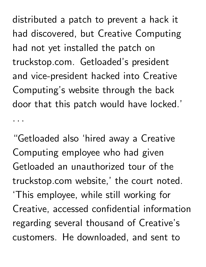distributed a patch to prevent a hack it had discovered, but Creative Computing had not yet installed the patch on truckstop.com. Getloaded's president and vice-president hacked into Creative Computing's website through the back door that this patch would have locked.'

"Getloaded also 'hired away a Creative Computing employee who had given Getloaded an unauthorized tour of the truckstop.com website,' the court noted. 'This employee, while still working for Creative, accessed confidential information regarding several thousand of Creative's customers. He downloaded, and sent to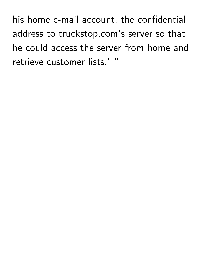his home e-mail account, the confidential address to truckstop.com's server so that he could access the server from home and retrieve customer lists.' "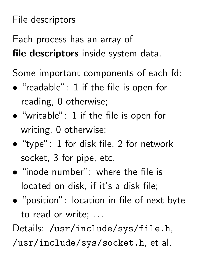## File descriptors

Each process has an array of file descriptors inside system data.

Some important components of each fd:

- - - - - -"readable": 1 if the file is open for reading, 0 otherwise;
- \_\_\_\_\_\_\_\_\_\_\_\_\_\_\_ "writable": 1 if the file is open for writing, 0 otherwise;
- \_\_\_\_\_\_\_\_\_\_\_\_\_ "type": 1 for disk file, 2 for network socket, 3 for pipe, etc.
- "inode number": where the file is located on disk, if it's a disk file;
- \_\_\_\_\_\_\_\_\_\_\_ "position": location in file of next byte to read or write; ...

Details: /usr/include/sys/file.h,

/usr/include/sys/socket.h, et al.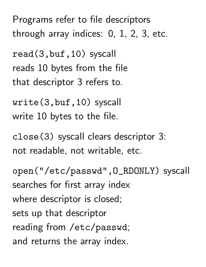Programs refer to file descriptors through array indices: 0, 1, 2, 3, etc.

read(3,buf,10) syscall reads 10 bytes from the file that descriptor 3 refers to.

write(3,buf,10) syscall write 10 bytes to the file.

close(3) syscall clears descriptor 3: not readable, not writable, etc.

open("/etc/passwd",O\_RDONLY) syscall searches for first array index where descriptor is closed; sets up that descriptor reading from /etc/passwd; and returns the array index.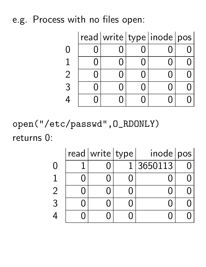## e.g. Process with no files open:

|  |  | read   write   type   inode   pos |  |
|--|--|-----------------------------------|--|
|  |  |                                   |  |
|  |  |                                   |  |
|  |  |                                   |  |
|  |  |                                   |  |
|  |  |                                   |  |

open("/etc/passwd",O\_RDONLY) returns 0:

|           | read   write   type | inode   pos |  |
|-----------|---------------------|-------------|--|
| $\bigcap$ |                     | 3650113     |  |
|           |                     |             |  |
| 2         |                     |             |  |
| 3         |                     |             |  |
| 4         |                     |             |  |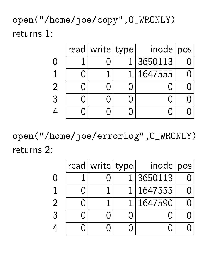open("/home/joe/copy",O\_WRONLY) returns 1:

|  | read   write   type | inode   pos |  |
|--|---------------------|-------------|--|
|  |                     | 1 3650113   |  |
|  |                     | 1   1647555 |  |
|  |                     |             |  |
|  |                     |             |  |
|  |                     |             |  |

open("/home/joe/errorlog",O\_WRONLY) returns 2:

|           | read   write   type | inode pos   |  |
|-----------|---------------------|-------------|--|
| $\bigcup$ |                     | 1 3650113   |  |
|           |                     | 1   1647555 |  |
|           |                     | 1   1647590 |  |
| 3         |                     |             |  |
|           |                     |             |  |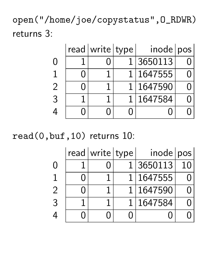open("/home/joe/copystatus",O\_RDWR) returns 3:

|  | read   write   type | inode pos   |  |
|--|---------------------|-------------|--|
|  |                     | 1 3650113   |  |
|  |                     | 1   1647555 |  |
|  |                     | 1   1647590 |  |
|  |                     | 1   1647584 |  |
|  |                     |             |  |

read(0,buf,10) returns 10:

|                | read   write   type | inode   pos |  |
|----------------|---------------------|-------------|--|
| $\bigcap$      |                     | 1 3650113   |  |
|                |                     | 1   1647555 |  |
| $\overline{2}$ |                     | 1 1647590   |  |
| 3              |                     | 1 1647584   |  |
|                |                     |             |  |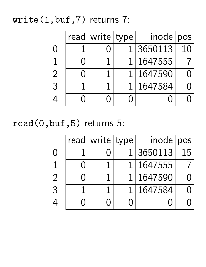## write(1,buf,7) returns 7:

|                | read   write   type | inode pos   |  |
|----------------|---------------------|-------------|--|
|                |                     | 1 3650113   |  |
|                |                     | 1   1647555 |  |
| $\overline{2}$ |                     | 1   1647590 |  |
|                |                     | 1   1647584 |  |
|                |                     |             |  |

read(0,buf,5) returns 5:

|   | read   write   type | inode pos   |    |
|---|---------------------|-------------|----|
| O |                     | 1 3650113   | 15 |
|   |                     | 1   1647555 |    |
|   |                     | 1   1647590 |    |
| 3 |                     | 1   1647584 |    |
|   |                     |             |    |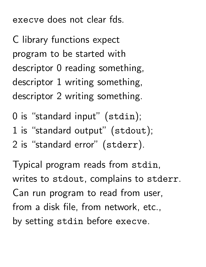execve does not clear fds.

C library functions expect program to be started with descriptor 0 reading something, descriptor 1 writing something, descriptor 2 writing something.

0 is "standard input" (stdin);

- 1 is "standard output" (stdout);
- 2 is "standard error" (stderr).

Typical program reads from stdin, writes to stdout, complains to stderr. Can run program to read from user, from a disk file, from network, etc., by setting stdin before execve.